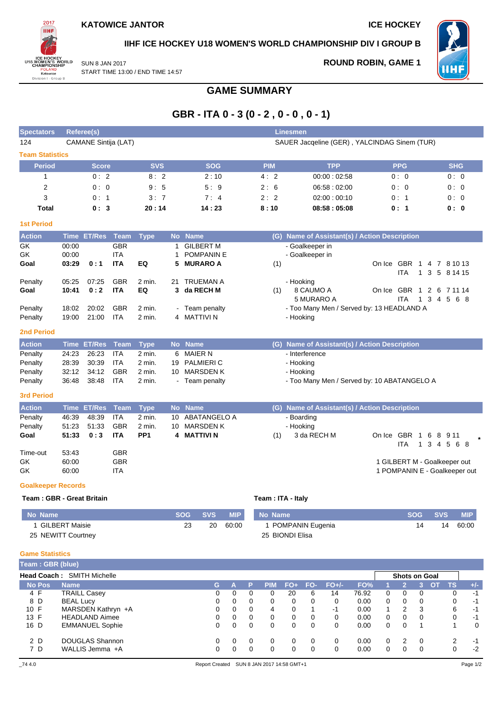**ROUND ROBIN, GAME 1**



**IIHF ICE HOCKEY U18 WOMEN'S WORLD CHAMPIONSHIP DIV I GROUP B**

WH F

SUN 8 JAN 2017 START TIME 13:00 / END TIME 14:57

## **GAME SUMMARY**

# **GBR - ITA 0 - 3 (0 - 2 , 0 - 0 , 0 - 1)**

| <b>Spectators</b>          | Reference(s)                                                         |                        |                          |                           |           |                                  |            |             |                   | <b>Linesmen</b> |                    |                                               |              |              |                      |                     |                                       |                               |
|----------------------------|----------------------------------------------------------------------|------------------------|--------------------------|---------------------------|-----------|----------------------------------|------------|-------------|-------------------|-----------------|--------------------|-----------------------------------------------|--------------|--------------|----------------------|---------------------|---------------------------------------|-------------------------------|
| 124                        | CAMANE Sintija (LAT)<br>SAUER Jacqeline (GER), YALCINDAG Sinem (TUR) |                        |                          |                           |           |                                  |            |             |                   |                 |                    |                                               |              |              |                      |                     |                                       |                               |
| <b>Team Statistics</b>     |                                                                      |                        |                          |                           |           |                                  |            |             |                   |                 |                    |                                               |              |              |                      |                     |                                       |                               |
| <b>Period</b>              |                                                                      | <b>Score</b>           |                          | <b>SVS</b>                |           | <b>SOG</b>                       |            |             | <b>PIM</b>        |                 |                    | <b>TPP</b>                                    |              |              | <b>PPG</b>           |                     |                                       | <b>SHG</b>                    |
| 1                          |                                                                      | 0:2                    |                          | 8:2                       |           | 2:10                             |            |             | 4:2               |                 |                    | 00:00:02:58                                   |              |              | 0:0                  |                     |                                       | 0:0                           |
| $\overline{c}$             |                                                                      | 0: 0                   |                          | 9:5                       |           | 5:9                              |            |             | 2:6               |                 |                    | 06.58:02.00                                   |              |              | 0:0                  |                     |                                       | 0:0                           |
| 3                          |                                                                      | 0: 1                   |                          | 3:7                       |           | 7:4                              |            |             | 2:2               |                 |                    | 02:00:00:10                                   |              |              | 0:1                  |                     |                                       | 0:0                           |
| Total                      |                                                                      | 0:3                    |                          | 20:14                     |           | 14:23                            |            |             | 8:10              |                 |                    | 08:58:05:08                                   |              |              | 0: 1                 |                     |                                       | 0: 0                          |
| <b>1st Period</b>          |                                                                      |                        |                          |                           |           |                                  |            |             |                   |                 |                    |                                               |              |              |                      |                     |                                       |                               |
| <b>Action</b>              | Time                                                                 | <b>ET/Res</b>          | <b>Team</b>              | <b>Type</b>               |           | No Name                          |            |             |                   |                 |                    | (G) Name of Assistant(s) / Action Description |              |              |                      |                     |                                       |                               |
| GK                         | 00:00                                                                |                        | GBR                      |                           | 1.        | <b>GILBERT M</b>                 |            |             |                   |                 | - Goalkeeper in    |                                               |              |              |                      |                     |                                       |                               |
| GK                         | 00:00                                                                |                        | <b>ITA</b>               |                           | 1         | POMPANIN E                       |            |             |                   |                 | - Goalkeeper in    |                                               |              |              |                      |                     |                                       |                               |
| Goal                       | 03:29                                                                | 0:1                    | <b>ITA</b>               | EQ                        | 5         | <b>MURARO A</b>                  |            |             | (1)               |                 |                    |                                               |              |              | <b>ITA</b>           | 3<br>$\mathbf{1}$   | On Ice GBR 1 4 7 8 10 13<br>5 8 14 15 |                               |
| Penalty                    | 05:25                                                                | 07:25                  | <b>GBR</b>               | 2 min.                    | 21        | <b>TRUEMAN A</b>                 |            |             |                   | - Hooking       |                    |                                               |              |              |                      |                     |                                       |                               |
| Goal                       | 10:41                                                                | 0:2                    | <b>ITA</b>               | EQ                        | 3         | da RECH M                        |            |             | (1)               |                 | 8 CAUMO A          |                                               |              | On Ice GBR 1 |                      |                     | 2 6 7 11 14                           |                               |
|                            |                                                                      |                        |                          |                           |           |                                  |            |             |                   |                 | 5 MURARO A         |                                               |              |              | <b>ITA</b>           | $\mathbf{1}$        | $3\quad 4$<br>5                       | 68                            |
| Penalty                    | 18:02                                                                | 20:02                  | <b>GBR</b><br><b>ITA</b> | 2 min.                    |           | - Team penalty<br>4 MATTIVI N    |            |             |                   |                 |                    | - Too Many Men / Served by: 13 HEADLAND A     |              |              |                      |                     |                                       |                               |
| Penalty                    | 19:00                                                                | 21:00                  |                          | 2 min.                    |           |                                  |            |             |                   | - Hooking       |                    |                                               |              |              |                      |                     |                                       |                               |
| <b>2nd Period</b>          |                                                                      |                        |                          |                           |           |                                  |            |             |                   |                 |                    |                                               |              |              |                      |                     |                                       |                               |
| <b>Action</b>              | <b>Time</b>                                                          | <b>ET/Res</b>          | <b>Team</b>              | <b>Type</b>               | <b>No</b> | <b>Name</b>                      |            |             | (G)               |                 |                    | Name of Assistant(s) / Action Description     |              |              |                      |                     |                                       |                               |
| Penalty                    | 24:23                                                                | 26:23                  | <b>ITA</b>               | 2 min.                    | 6         | <b>MAIER N</b>                   |            |             |                   |                 | - Interference     |                                               |              |              |                      |                     |                                       |                               |
| Penalty                    | 28:39                                                                | 30:39                  | <b>ITA</b>               | 2 min.                    | 19        | <b>PALMIERI C</b>                |            |             |                   | - Hooking       |                    |                                               |              |              |                      |                     |                                       |                               |
| Penalty<br>Penalty         | 32:12<br>36:48                                                       | 34:12<br>38:48         | <b>GBR</b><br><b>ITA</b> | 2 min.<br>2 min.          | 10        | <b>MARSDEN K</b><br>Team penalty |            |             |                   | - Hooking       |                    | - Too Many Men / Served by: 10 ABATANGELO A   |              |              |                      |                     |                                       |                               |
|                            |                                                                      |                        |                          |                           |           |                                  |            |             |                   |                 |                    |                                               |              |              |                      |                     |                                       |                               |
| <b>3rd Period</b>          |                                                                      |                        |                          |                           |           |                                  |            |             |                   |                 |                    |                                               |              |              |                      |                     |                                       |                               |
| <b>Action</b>              | Time                                                                 | <b>ET/Res</b>          | <b>Team</b>              | <b>Type</b>               | <b>No</b> | <b>Name</b>                      |            |             |                   |                 |                    | (G) Name of Assistant(s) / Action Description |              |              |                      |                     |                                       |                               |
| Penalty                    | 46:39                                                                | 48:39                  | <b>ITA</b>               | 2 min.                    | 10        | <b>ABATANGELO A</b>              |            |             |                   | - Boarding      |                    |                                               |              |              |                      |                     |                                       |                               |
| Penalty<br>Goal            | 51:23<br>51:33                                                       | 51:33<br>0:3           | <b>GBR</b><br><b>ITA</b> | 2 min.<br>PP <sub>1</sub> | 10<br>4   | <b>MARSDEN K</b><br>MATTIVI N    |            |             | (1)               | - Hooking       | 3 da RECH M        |                                               |              | On Ice GBR   |                      | $\overline{1}$<br>6 | 8 9 1 1                               |                               |
|                            |                                                                      |                        |                          |                           |           |                                  |            |             |                   |                 |                    |                                               |              |              | ITA                  | $\mathbf{1}$        | 3 4 5 6 8                             |                               |
| Time-out                   | 53:43                                                                |                        | <b>GBR</b>               |                           |           |                                  |            |             |                   |                 |                    |                                               |              |              |                      |                     |                                       |                               |
| GK                         | 60:00                                                                |                        | <b>GBR</b>               |                           |           |                                  |            |             |                   |                 |                    |                                               |              |              |                      |                     | 1 GILBERT M - Goalkeeper out          |                               |
| GK                         | 60:00                                                                |                        | ITA                      |                           |           |                                  |            |             |                   |                 |                    |                                               |              |              |                      |                     |                                       | 1 POMPANIN E - Goalkeeper out |
| <b>Goalkeeper Records</b>  |                                                                      |                        |                          |                           |           |                                  |            |             |                   |                 |                    |                                               |              |              |                      |                     |                                       |                               |
| Team: GBR - Great Britain  |                                                                      |                        |                          |                           |           |                                  |            |             | Team: ITA - Italy |                 |                    |                                               |              |              |                      |                     |                                       |                               |
| <b>No Name</b>             |                                                                      |                        |                          |                           |           | <b>SOG</b><br><b>SVS</b>         | <b>MIP</b> |             | No Name           |                 |                    |                                               |              |              |                      | <b>SOG</b>          | <b>SVS</b>                            | <b>MIP</b>                    |
| 1 GILBERT Maisie           |                                                                      |                        |                          |                           |           | 23<br>20                         | 60:00      |             |                   |                 | 1 POMPANIN Eugenia |                                               |              |              |                      | 14                  | 14                                    | 60:00                         |
| 25 NEWITT Courtney         |                                                                      |                        |                          |                           |           |                                  |            |             | 25 BIONDI Elisa   |                 |                    |                                               |              |              |                      |                     |                                       |                               |
| <b>Game Statistics</b>     |                                                                      |                        |                          |                           |           |                                  |            |             |                   |                 |                    |                                               |              |              |                      |                     |                                       |                               |
| Team: GBR (blue)           |                                                                      |                        |                          |                           |           |                                  |            |             |                   |                 |                    |                                               |              |              |                      |                     |                                       |                               |
| Head Coach: SMITH Michelle |                                                                      |                        |                          |                           |           |                                  |            |             |                   |                 |                    |                                               |              |              | <b>Shots on Goal</b> |                     |                                       |                               |
| <b>No Pos</b>              | <b>Name</b>                                                          |                        |                          |                           |           | G                                | A          | P           | <b>PIM</b>        | $FO+$           | FO-                | $FO+/-$                                       | FO%          |              | $\overline{2}$       | 3 <sup>1</sup>      | <b>TS</b><br><b>OT</b>                | $+/-$                         |
| 4 F                        |                                                                      | <b>TRAILL Casey</b>    |                          |                           |           | $\mathbf 0$                      | 0          | $\mathbf 0$ | 0                 | 20              | 6                  | 14                                            | 76.92        | 0            | 0                    | 0                   |                                       | 0<br>$-1$                     |
| 8 D<br>10 F                | <b>BEAL Lucy</b>                                                     |                        | MARSDEN Kathryn +A       |                           |           | 0<br>0                           | 0<br>0     | 0<br>0      | 0<br>4            | 0<br>0          | 0<br>1             | 0<br>-1                                       | 0.00<br>0.00 | 0<br>1       | 0<br>2               | 0<br>3              |                                       | 0<br>$-1$<br>6<br>$-1$        |
| 13 F                       |                                                                      | <b>HEADLAND Aimee</b>  |                          |                           |           | 0                                | 0          | 0           | 0                 | 0               | 0                  | 0                                             | 0.00         | 0            | 0                    | 0                   |                                       | 0<br>$-1$                     |
| 16 D                       |                                                                      | <b>EMMANUEL Sophie</b> |                          |                           |           | 0                                | 0          | 0           | $\Omega$          | 0               | 0                  | $\Omega$                                      | 0.00         | 0            | 0                    | 1                   |                                       | $\mathbf 0$<br>1              |

2 D DOUGLAS Shannon 0 0 0 0 0 0 0 0.00 0 2 0 2 -1 7 D WALLIS Jemma +A 0 0 0 0 0 0 0 0.00 0 0 0 0 -2